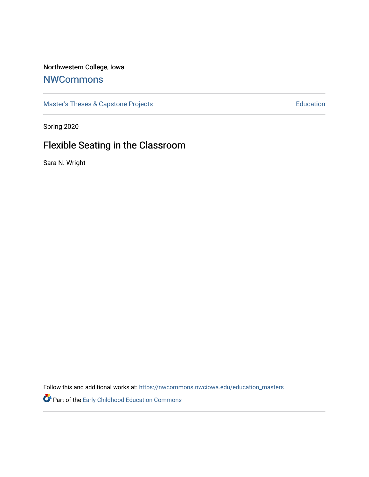# Northwestern College, Iowa

# **[NWCommons](https://nwcommons.nwciowa.edu/)**

[Master's Theses & Capstone Projects](https://nwcommons.nwciowa.edu/education_masters) **Education** Education

Spring 2020

# Flexible Seating in the Classroom

Sara N. Wright

Follow this and additional works at: [https://nwcommons.nwciowa.edu/education\\_masters](https://nwcommons.nwciowa.edu/education_masters?utm_source=nwcommons.nwciowa.edu%2Feducation_masters%2F224&utm_medium=PDF&utm_campaign=PDFCoverPages)

Part of the [Early Childhood Education Commons](http://network.bepress.com/hgg/discipline/1377?utm_source=nwcommons.nwciowa.edu%2Feducation_masters%2F224&utm_medium=PDF&utm_campaign=PDFCoverPages)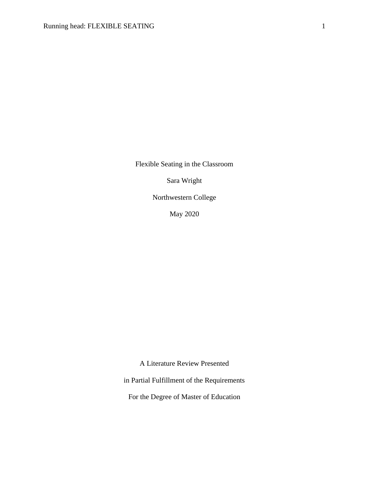Flexible Seating in the Classroom

Sara Wright

Northwestern College

May 2020

A Literature Review Presented

in Partial Fulfillment of the Requirements

For the Degree of Master of Education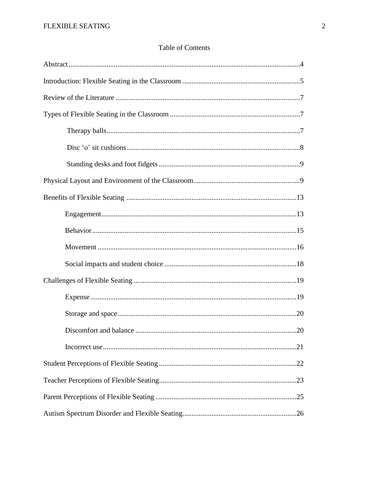# Table of Contents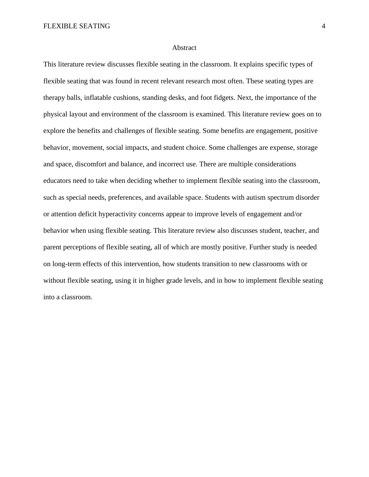### Abstract

This literature review discusses flexible seating in the classroom. It explains specific types of flexible seating that was found in recent relevant research most often. These seating types are therapy balls, inflatable cushions, standing desks, and foot fidgets. Next, the importance of the physical layout and environment of the classroom is examined. This literature review goes on to explore the benefits and challenges of flexible seating. Some benefits are engagement, positive behavior, movement, social impacts, and student choice. Some challenges are expense, storage and space, discomfort and balance, and incorrect use. There are multiple considerations educators need to take when deciding whether to implement flexible seating into the classroom, such as special needs, preferences, and available space. Students with autism spectrum disorder or attention deficit hyperactivity concerns appear to improve levels of engagement and/or behavior when using flexible seating. This literature review also discusses student, teacher, and parent perceptions of flexible seating, all of which are mostly positive. Further study is needed on long-term effects of this intervention, how students transition to new classrooms with or without flexible seating, using it in higher grade levels, and in how to implement flexible seating into a classroom.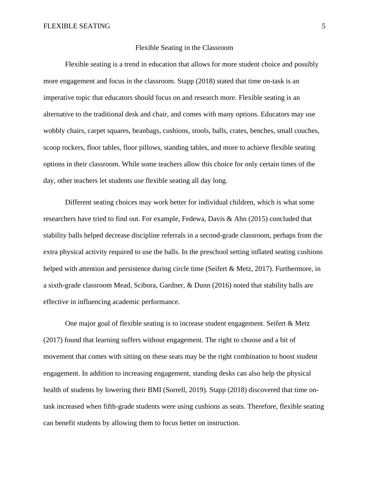# Flexible Seating in the Classroom

Flexible seating is a trend in education that allows for more student choice and possibly more engagement and focus in the classroom. Stapp (2018) stated that time on-task is an imperative topic that educators should focus on and research more. Flexible seating is an alternative to the traditional desk and chair, and comes with many options. Educators may use wobbly chairs, carpet squares, beanbags, cushions, stools, balls, crates, benches, small couches, scoop rockers, floor tables, floor pillows, standing tables, and more to achieve flexible seating options in their classroom. While some teachers allow this choice for only certain times of the day, other teachers let students use flexible seating all day long.

Different seating choices may work better for individual children, which is what some researchers have tried to find out. For example, Fedewa, Davis & Ahn (2015) concluded that stability balls helped decrease discipline referrals in a second-grade classroom, perhaps from the extra physical activity required to use the balls. In the preschool setting inflated seating cushions helped with attention and persistence during circle time (Seifert & Metz, 2017). Furthermore, in a sixth-grade classroom Mead, Scibora, Gardner, & Dunn (2016) noted that stability balls are effective in influencing academic performance.

One major goal of flexible seating is to increase student engagement. Seifert & Metz (2017) found that learning suffers without engagement. The right to choose and a bit of movement that comes with sitting on these seats may be the right combination to boost student engagement. In addition to increasing engagement, standing desks can also help the physical health of students by lowering their BMI (Sorrell, 2019). Stapp (2018) discovered that time ontask increased when fifth-grade students were using cushions as seats. Therefore, flexible seating can benefit students by allowing them to focus better on instruction.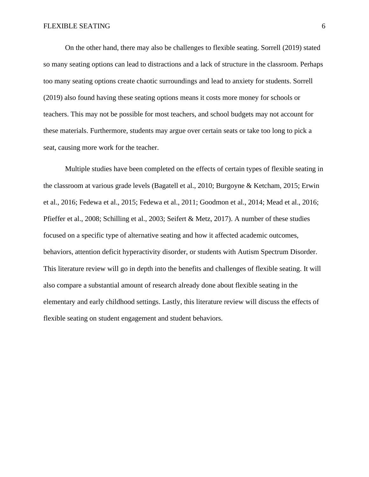On the other hand, there may also be challenges to flexible seating. Sorrell (2019) stated so many seating options can lead to distractions and a lack of structure in the classroom. Perhaps too many seating options create chaotic surroundings and lead to anxiety for students. Sorrell (2019) also found having these seating options means it costs more money for schools or teachers. This may not be possible for most teachers, and school budgets may not account for these materials. Furthermore, students may argue over certain seats or take too long to pick a seat, causing more work for the teacher.

Multiple studies have been completed on the effects of certain types of flexible seating in the classroom at various grade levels (Bagatell et al., 2010; Burgoyne & Ketcham, 2015; Erwin et al., 2016; Fedewa et al., 2015; Fedewa et al., 2011; Goodmon et al., 2014; Mead et al., 2016; Pfieffer et al., 2008; Schilling et al., 2003; Seifert & Metz, 2017). A number of these studies focused on a specific type of alternative seating and how it affected academic outcomes, behaviors, attention deficit hyperactivity disorder, or students with Autism Spectrum Disorder. This literature review will go in depth into the benefits and challenges of flexible seating. It will also compare a substantial amount of research already done about flexible seating in the elementary and early childhood settings. Lastly, this literature review will discuss the effects of flexible seating on student engagement and student behaviors.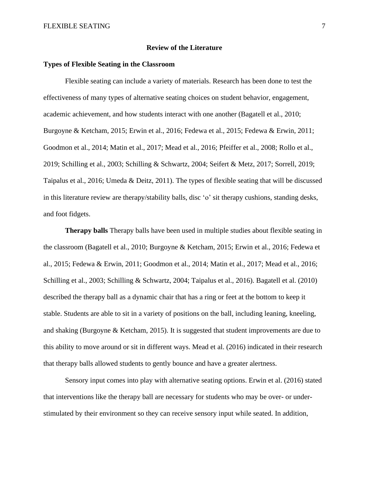# **Review of the Literature**

# **Types of Flexible Seating in the Classroom**

Flexible seating can include a variety of materials. Research has been done to test the effectiveness of many types of alternative seating choices on student behavior, engagement, academic achievement, and how students interact with one another (Bagatell et al., 2010; Burgoyne & Ketcham, 2015; Erwin et al., 2016; Fedewa et al., 2015; Fedewa & Erwin, 2011; Goodmon et al., 2014; Matin et al., 2017; Mead et al., 2016; Pfeiffer et al., 2008; Rollo et al., 2019; Schilling et al., 2003; Schilling & Schwartz, 2004; Seifert & Metz, 2017; Sorrell, 2019; Taipalus et al., 2016; Umeda & Deitz, 2011). The types of flexible seating that will be discussed in this literature review are therapy/stability balls, disc 'o' sit therapy cushions, standing desks, and foot fidgets.

**Therapy balls** Therapy balls have been used in multiple studies about flexible seating in the classroom (Bagatell et al., 2010; Burgoyne & Ketcham, 2015; Erwin et al., 2016; Fedewa et al., 2015; Fedewa & Erwin, 2011; Goodmon et al., 2014; Matin et al., 2017; Mead et al., 2016; Schilling et al., 2003; Schilling & Schwartz, 2004; Taipalus et al., 2016). Bagatell et al. (2010) described the therapy ball as a dynamic chair that has a ring or feet at the bottom to keep it stable. Students are able to sit in a variety of positions on the ball, including leaning, kneeling, and shaking (Burgoyne  $\&$  Ketcham, 2015). It is suggested that student improvements are due to this ability to move around or sit in different ways. Mead et al. (2016) indicated in their research that therapy balls allowed students to gently bounce and have a greater alertness.

Sensory input comes into play with alternative seating options. Erwin et al. (2016) stated that interventions like the therapy ball are necessary for students who may be over- or understimulated by their environment so they can receive sensory input while seated. In addition,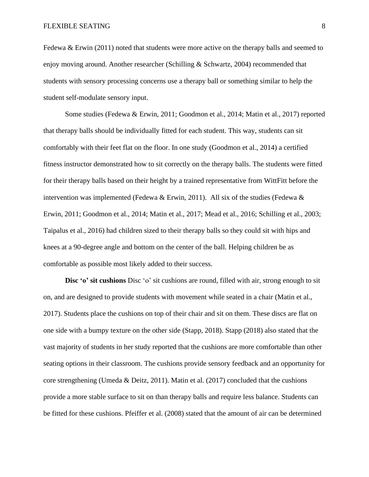Fedewa & Erwin  $(2011)$  noted that students were more active on the therapy balls and seemed to enjoy moving around. Another researcher (Schilling & Schwartz, 2004) recommended that students with sensory processing concerns use a therapy ball or something similar to help the student self-modulate sensory input.

Some studies (Fedewa & Erwin, 2011; Goodmon et al., 2014; Matin et al., 2017) reported that therapy balls should be individually fitted for each student. This way, students can sit comfortably with their feet flat on the floor. In one study (Goodmon et al., 2014) a certified fitness instructor demonstrated how to sit correctly on the therapy balls. The students were fitted for their therapy balls based on their height by a trained representative from WittFitt before the intervention was implemented (Fedewa & Erwin, 2011). All six of the studies (Fedewa & Erwin, 2011; Goodmon et al., 2014; Matin et al., 2017; Mead et al., 2016; Schilling et al., 2003; Taipalus et al., 2016) had children sized to their therapy balls so they could sit with hips and knees at a 90-degree angle and bottom on the center of the ball. Helping children be as comfortable as possible most likely added to their success.

**Disc 'o' sit cushions** Disc 'o' sit cushions are round, filled with air, strong enough to sit on, and are designed to provide students with movement while seated in a chair (Matin et al., 2017). Students place the cushions on top of their chair and sit on them. These discs are flat on one side with a bumpy texture on the other side (Stapp, 2018). Stapp (2018) also stated that the vast majority of students in her study reported that the cushions are more comfortable than other seating options in their classroom. The cushions provide sensory feedback and an opportunity for core strengthening (Umeda & Deitz, 2011). Matin et al. (2017) concluded that the cushions provide a more stable surface to sit on than therapy balls and require less balance. Students can be fitted for these cushions. Pfeiffer et al. (2008) stated that the amount of air can be determined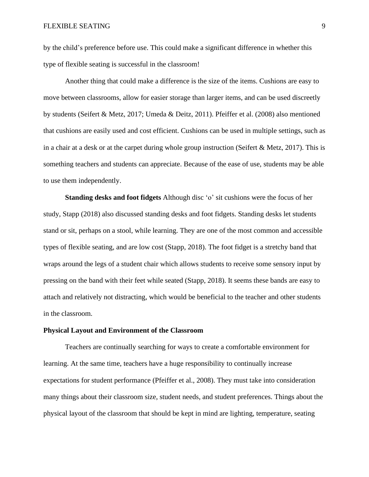by the child's preference before use. This could make a significant difference in whether this type of flexible seating is successful in the classroom!

Another thing that could make a difference is the size of the items. Cushions are easy to move between classrooms, allow for easier storage than larger items, and can be used discreetly by students (Seifert & Metz, 2017; Umeda & Deitz, 2011). Pfeiffer et al. (2008) also mentioned that cushions are easily used and cost efficient. Cushions can be used in multiple settings, such as in a chair at a desk or at the carpet during whole group instruction (Seifert & Metz, 2017). This is something teachers and students can appreciate. Because of the ease of use, students may be able to use them independently.

**Standing desks and foot fidgets** Although disc 'o' sit cushions were the focus of her study, Stapp (2018) also discussed standing desks and foot fidgets. Standing desks let students stand or sit, perhaps on a stool, while learning. They are one of the most common and accessible types of flexible seating, and are low cost (Stapp, 2018). The foot fidget is a stretchy band that wraps around the legs of a student chair which allows students to receive some sensory input by pressing on the band with their feet while seated (Stapp, 2018). It seems these bands are easy to attach and relatively not distracting, which would be beneficial to the teacher and other students in the classroom.

# **Physical Layout and Environment of the Classroom**

Teachers are continually searching for ways to create a comfortable environment for learning. At the same time, teachers have a huge responsibility to continually increase expectations for student performance (Pfeiffer et al., 2008). They must take into consideration many things about their classroom size, student needs, and student preferences. Things about the physical layout of the classroom that should be kept in mind are lighting, temperature, seating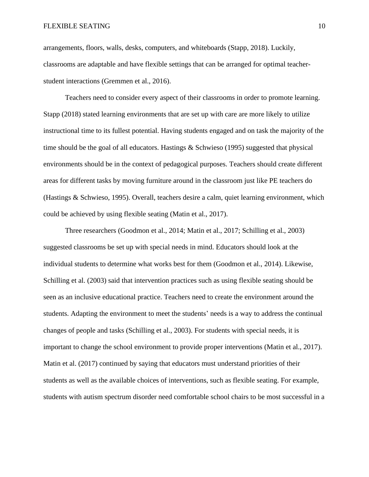arrangements, floors, walls, desks, computers, and whiteboards (Stapp, 2018). Luckily, classrooms are adaptable and have flexible settings that can be arranged for optimal teacherstudent interactions (Gremmen et al., 2016).

Teachers need to consider every aspect of their classrooms in order to promote learning. Stapp (2018) stated learning environments that are set up with care are more likely to utilize instructional time to its fullest potential. Having students engaged and on task the majority of the time should be the goal of all educators. Hastings  $\&$  Schwieso (1995) suggested that physical environments should be in the context of pedagogical purposes. Teachers should create different areas for different tasks by moving furniture around in the classroom just like PE teachers do (Hastings & Schwieso, 1995). Overall, teachers desire a calm, quiet learning environment, which could be achieved by using flexible seating (Matin et al., 2017).

Three researchers (Goodmon et al., 2014; Matin et al., 2017; Schilling et al., 2003) suggested classrooms be set up with special needs in mind. Educators should look at the individual students to determine what works best for them (Goodmon et al., 2014). Likewise, Schilling et al. (2003) said that intervention practices such as using flexible seating should be seen as an inclusive educational practice. Teachers need to create the environment around the students. Adapting the environment to meet the students' needs is a way to address the continual changes of people and tasks (Schilling et al., 2003). For students with special needs, it is important to change the school environment to provide proper interventions (Matin et al., 2017). Matin et al. (2017) continued by saying that educators must understand priorities of their students as well as the available choices of interventions, such as flexible seating. For example, students with autism spectrum disorder need comfortable school chairs to be most successful in a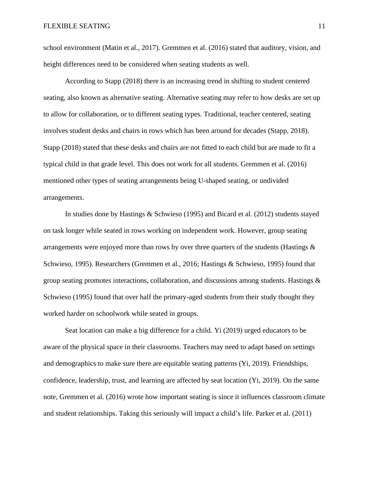school environment (Matin et al., 2017). Gremmen et al. (2016) stated that auditory, vision, and height differences need to be considered when seating students as well.

According to Stapp (2018) there is an increasing trend in shifting to student centered seating, also known as alternative seating. Alternative seating may refer to how desks are set up to allow for collaboration, or to different seating types. Traditional, teacher centered, seating involves student desks and chairs in rows which has been around for decades (Stapp, 2018). Stapp (2018) stated that these desks and chairs are not fitted to each child but are made to fit a typical child in that grade level. This does not work for all students. Gremmen et al. (2016) mentioned other types of seating arrangements being U-shaped seating, or undivided arrangements.

In studies done by Hastings & Schwieso (1995) and Bicard et al. (2012) students stayed on task longer while seated in rows working on independent work. However, group seating arrangements were enjoyed more than rows by over three quarters of the students (Hastings  $\&$ Schwieso, 1995). Researchers (Gremmen et al., 2016; Hastings & Schwieso, 1995) found that group seating promotes interactions, collaboration, and discussions among students. Hastings & Schwieso (1995) found that over half the primary-aged students from their study thought they worked harder on schoolwork while seated in groups.

Seat location can make a big difference for a child. Yi (2019) urged educators to be aware of the physical space in their classrooms. Teachers may need to adapt based on settings and demographics to make sure there are equitable seating patterns (Yi, 2019). Friendships, confidence, leadership, trust, and learning are affected by seat location (Yi, 2019). On the same note, Gremmen et al. (2016) wrote how important seating is since it influences classroom climate and student relationships. Taking this seriously will impact a child's life. Parker et al. (2011)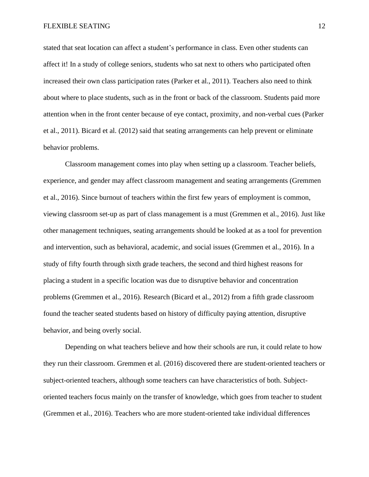stated that seat location can affect a student's performance in class. Even other students can affect it! In a study of college seniors, students who sat next to others who participated often increased their own class participation rates (Parker et al., 2011). Teachers also need to think about where to place students, such as in the front or back of the classroom. Students paid more attention when in the front center because of eye contact, proximity, and non-verbal cues (Parker et al., 2011). Bicard et al. (2012) said that seating arrangements can help prevent or eliminate behavior problems.

Classroom management comes into play when setting up a classroom. Teacher beliefs, experience, and gender may affect classroom management and seating arrangements (Gremmen et al., 2016). Since burnout of teachers within the first few years of employment is common, viewing classroom set-up as part of class management is a must (Gremmen et al., 2016). Just like other management techniques, seating arrangements should be looked at as a tool for prevention and intervention, such as behavioral, academic, and social issues (Gremmen et al., 2016). In a study of fifty fourth through sixth grade teachers, the second and third highest reasons for placing a student in a specific location was due to disruptive behavior and concentration problems (Gremmen et al., 2016). Research (Bicard et al., 2012) from a fifth grade classroom found the teacher seated students based on history of difficulty paying attention, disruptive behavior, and being overly social.

Depending on what teachers believe and how their schools are run, it could relate to how they run their classroom. Gremmen et al. (2016) discovered there are student-oriented teachers or subject-oriented teachers, although some teachers can have characteristics of both. Subjectoriented teachers focus mainly on the transfer of knowledge, which goes from teacher to student (Gremmen et al., 2016). Teachers who are more student-oriented take individual differences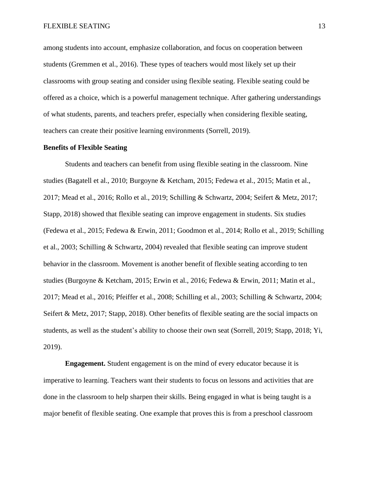among students into account, emphasize collaboration, and focus on cooperation between students (Gremmen et al., 2016). These types of teachers would most likely set up their classrooms with group seating and consider using flexible seating. Flexible seating could be offered as a choice, which is a powerful management technique. After gathering understandings of what students, parents, and teachers prefer, especially when considering flexible seating, teachers can create their positive learning environments (Sorrell, 2019).

#### **Benefits of Flexible Seating**

Students and teachers can benefit from using flexible seating in the classroom. Nine studies (Bagatell et al., 2010; Burgoyne & Ketcham, 2015; Fedewa et al., 2015; Matin et al., 2017; Mead et al., 2016; Rollo et al., 2019; Schilling & Schwartz, 2004; Seifert & Metz, 2017; Stapp, 2018) showed that flexible seating can improve engagement in students. Six studies (Fedewa et al., 2015; Fedewa & Erwin, 2011; Goodmon et al., 2014; Rollo et al., 2019; Schilling et al., 2003; Schilling & Schwartz, 2004) revealed that flexible seating can improve student behavior in the classroom. Movement is another benefit of flexible seating according to ten studies (Burgoyne & Ketcham, 2015; Erwin et al., 2016; Fedewa & Erwin, 2011; Matin et al., 2017; Mead et al., 2016; Pfeiffer et al., 2008; Schilling et al., 2003; Schilling & Schwartz, 2004; Seifert & Metz, 2017; Stapp, 2018). Other benefits of flexible seating are the social impacts on students, as well as the student's ability to choose their own seat (Sorrell, 2019; Stapp, 2018; Yi, 2019).

**Engagement.** Student engagement is on the mind of every educator because it is imperative to learning. Teachers want their students to focus on lessons and activities that are done in the classroom to help sharpen their skills. Being engaged in what is being taught is a major benefit of flexible seating. One example that proves this is from a preschool classroom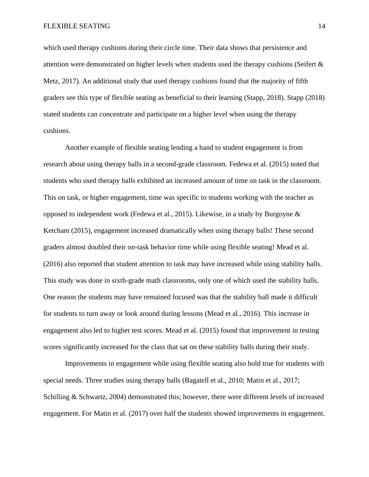which used therapy cushions during their circle time. Their data shows that persistence and attention were demonstrated on higher levels when students used the therapy cushions (Seifert & Metz, 2017). An additional study that used therapy cushions found that the majority of fifth graders see this type of flexible seating as beneficial to their learning (Stapp, 2018). Stapp (2018) stated students can concentrate and participate on a higher level when using the therapy cushions.

Another example of flexible seating lending a hand to student engagement is from research about using therapy balls in a second-grade classroom. Fedewa et al. (2015) noted that students who used therapy balls exhibited an increased amount of time on task in the classroom. This on task, or higher engagement, time was specific to students working with the teacher as opposed to independent work (Fedewa et al., 2015). Likewise, in a study by Burgoyne  $\&$ Ketcham (2015), engagement increased dramatically when using therapy balls! These second graders almost doubled their on-task behavior time while using flexible seating! Mead et al. (2016) also reported that student attention to task may have increased while using stability balls. This study was done in sixth-grade math classrooms, only one of which used the stability balls. One reason the students may have remained focused was that the stability ball made it difficult for students to turn away or look around during lessons (Mead et al., 2016). This increase in engagement also led to higher test scores. Mead et al. (2015) found that improvement in testing scores significantly increased for the class that sat on these stability balls during their study.

Improvements in engagement while using flexible seating also hold true for students with special needs. Three studies using therapy balls (Bagatell et al., 2010; Matin et al., 2017; Schilling & Schwartz, 2004) demonstrated this; however, there were different levels of increased engagement. For Matin et al. (2017) over half the students showed improvements in engagement.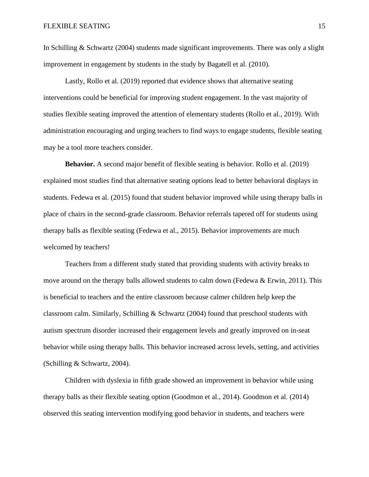In Schilling  $&$  Schwartz (2004) students made significant improvements. There was only a slight improvement in engagement by students in the study by Bagatell et al. (2010).

Lastly, Rollo et al. (2019) reported that evidence shows that alternative seating interventions could be beneficial for improving student engagement. In the vast majority of studies flexible seating improved the attention of elementary students (Rollo et al., 2019). With administration encouraging and urging teachers to find ways to engage students, flexible seating may be a tool more teachers consider.

**Behavior.** A second major benefit of flexible seating is behavior. Rollo et al. (2019) explained most studies find that alternative seating options lead to better behavioral displays in students. Fedewa et al. (2015) found that student behavior improved while using therapy balls in place of chairs in the second-grade classroom. Behavior referrals tapered off for students using therapy balls as flexible seating (Fedewa et al., 2015). Behavior improvements are much welcomed by teachers!

Teachers from a different study stated that providing students with activity breaks to move around on the therapy balls allowed students to calm down (Fedewa & Erwin, 2011). This is beneficial to teachers and the entire classroom because calmer children help keep the classroom calm. Similarly, Schilling & Schwartz (2004) found that preschool students with autism spectrum disorder increased their engagement levels and greatly improved on in-seat behavior while using therapy balls. This behavior increased across levels, setting, and activities (Schilling & Schwartz, 2004).

Children with dyslexia in fifth grade showed an improvement in behavior while using therapy balls as their flexible seating option (Goodmon et al., 2014). Goodmon et al. (2014) observed this seating intervention modifying good behavior in students, and teachers were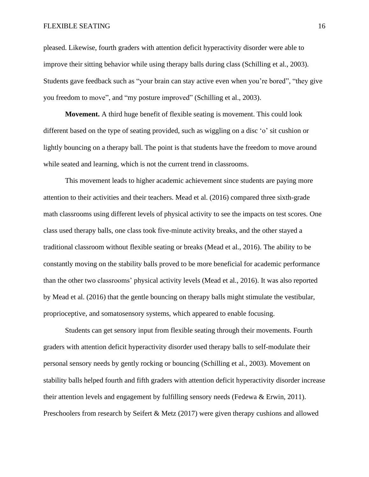pleased. Likewise, fourth graders with attention deficit hyperactivity disorder were able to improve their sitting behavior while using therapy balls during class (Schilling et al., 2003). Students gave feedback such as "your brain can stay active even when you're bored", "they give you freedom to move", and "my posture improved" (Schilling et al., 2003).

**Movement.** A third huge benefit of flexible seating is movement. This could look different based on the type of seating provided, such as wiggling on a disc 'o' sit cushion or lightly bouncing on a therapy ball. The point is that students have the freedom to move around while seated and learning, which is not the current trend in classrooms.

This movement leads to higher academic achievement since students are paying more attention to their activities and their teachers. Mead et al. (2016) compared three sixth-grade math classrooms using different levels of physical activity to see the impacts on test scores. One class used therapy balls, one class took five-minute activity breaks, and the other stayed a traditional classroom without flexible seating or breaks (Mead et al., 2016). The ability to be constantly moving on the stability balls proved to be more beneficial for academic performance than the other two classrooms' physical activity levels (Mead et al., 2016). It was also reported by Mead et al. (2016) that the gentle bouncing on therapy balls might stimulate the vestibular, proprioceptive, and somatosensory systems, which appeared to enable focusing.

Students can get sensory input from flexible seating through their movements. Fourth graders with attention deficit hyperactivity disorder used therapy balls to self-modulate their personal sensory needs by gently rocking or bouncing (Schilling et al., 2003). Movement on stability balls helped fourth and fifth graders with attention deficit hyperactivity disorder increase their attention levels and engagement by fulfilling sensory needs (Fedewa  $& Erwin, 2011$ ). Preschoolers from research by Seifert & Metz (2017) were given therapy cushions and allowed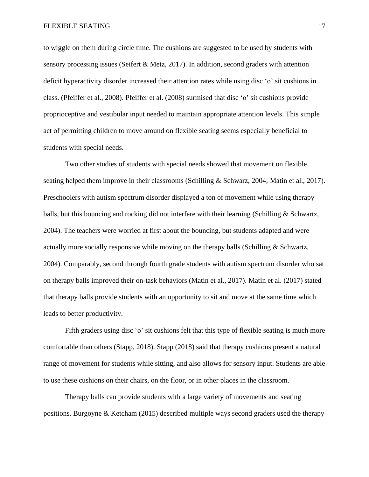to wiggle on them during circle time. The cushions are suggested to be used by students with sensory processing issues (Seifert & Metz, 2017). In addition, second graders with attention deficit hyperactivity disorder increased their attention rates while using disc 'o' sit cushions in class. (Pfeiffer et al., 2008). Pfeiffer et al. (2008) surmised that disc 'o' sit cushions provide proprioceptive and vestibular input needed to maintain appropriate attention levels. This simple act of permitting children to move around on flexible seating seems especially beneficial to students with special needs.

Two other studies of students with special needs showed that movement on flexible seating helped them improve in their classrooms (Schilling & Schwarz, 2004; Matin et al., 2017). Preschoolers with autism spectrum disorder displayed a ton of movement while using therapy balls, but this bouncing and rocking did not interfere with their learning (Schilling & Schwartz, 2004). The teachers were worried at first about the bouncing, but students adapted and were actually more socially responsive while moving on the therapy balls (Schilling & Schwartz, 2004). Comparably, second through fourth grade students with autism spectrum disorder who sat on therapy balls improved their on-task behaviors (Matin et al., 2017). Matin et al. (2017) stated that therapy balls provide students with an opportunity to sit and move at the same time which leads to better productivity.

Fifth graders using disc 'o' sit cushions felt that this type of flexible seating is much more comfortable than others (Stapp, 2018). Stapp (2018) said that therapy cushions present a natural range of movement for students while sitting, and also allows for sensory input. Students are able to use these cushions on their chairs, on the floor, or in other places in the classroom.

Therapy balls can provide students with a large variety of movements and seating positions. Burgoyne & Ketcham (2015) described multiple ways second graders used the therapy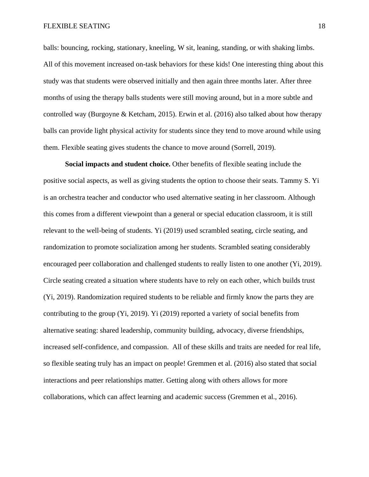balls: bouncing, rocking, stationary, kneeling, W sit, leaning, standing, or with shaking limbs. All of this movement increased on-task behaviors for these kids! One interesting thing about this study was that students were observed initially and then again three months later. After three months of using the therapy balls students were still moving around, but in a more subtle and controlled way (Burgoyne & Ketcham, 2015). Erwin et al. (2016) also talked about how therapy balls can provide light physical activity for students since they tend to move around while using them. Flexible seating gives students the chance to move around (Sorrell, 2019).

**Social impacts and student choice.** Other benefits of flexible seating include the positive social aspects, as well as giving students the option to choose their seats. Tammy S. Yi is an orchestra teacher and conductor who used alternative seating in her classroom. Although this comes from a different viewpoint than a general or special education classroom, it is still relevant to the well-being of students. Yi (2019) used scrambled seating, circle seating, and randomization to promote socialization among her students. Scrambled seating considerably encouraged peer collaboration and challenged students to really listen to one another (Yi, 2019). Circle seating created a situation where students have to rely on each other, which builds trust (Yi, 2019). Randomization required students to be reliable and firmly know the parts they are contributing to the group (Yi, 2019). Yi (2019) reported a variety of social benefits from alternative seating: shared leadership, community building, advocacy, diverse friendships, increased self-confidence, and compassion. All of these skills and traits are needed for real life, so flexible seating truly has an impact on people! Gremmen et al. (2016) also stated that social interactions and peer relationships matter. Getting along with others allows for more collaborations, which can affect learning and academic success (Gremmen et al., 2016).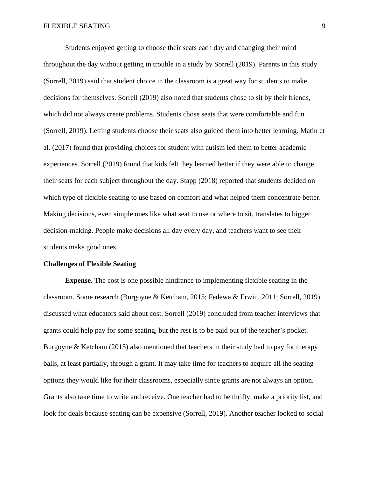Students enjoyed getting to choose their seats each day and changing their mind throughout the day without getting in trouble in a study by Sorrell (2019). Parents in this study (Sorrell, 2019) said that student choice in the classroom is a great way for students to make decisions for themselves. Sorrell (2019) also noted that students chose to sit by their friends, which did not always create problems. Students chose seats that were comfortable and fun (Sorrell, 2019). Letting students choose their seats also guided them into better learning. Matin et al. (2017) found that providing choices for student with autism led them to better academic experiences. Sorrell (2019) found that kids felt they learned better if they were able to change their seats for each subject throughout the day. Stapp (2018) reported that students decided on which type of flexible seating to use based on comfort and what helped them concentrate better. Making decisions, even simple ones like what seat to use or where to sit, translates to bigger decision-making. People make decisions all day every day, and teachers want to see their students make good ones.

#### **Challenges of Flexible Seating**

**Expense.** The cost is one possible hindrance to implementing flexible seating in the classroom. Some research (Burgoyne & Ketcham, 2015; Fedewa & Erwin, 2011; Sorrell, 2019) discussed what educators said about cost. Sorrell (2019) concluded from teacher interviews that grants could help pay for some seating, but the rest is to be paid out of the teacher's pocket. Burgoyne & Ketcham (2015) also mentioned that teachers in their study had to pay for therapy balls, at least partially, through a grant. It may take time for teachers to acquire all the seating options they would like for their classrooms, especially since grants are not always an option. Grants also take time to write and receive. One teacher had to be thrifty, make a priority list, and look for deals because seating can be expensive (Sorrell, 2019). Another teacher looked to social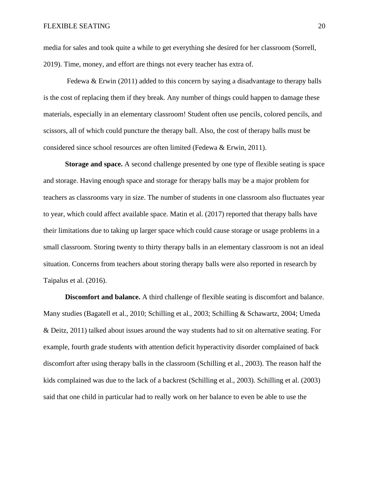media for sales and took quite a while to get everything she desired for her classroom (Sorrell, 2019). Time, money, and effort are things not every teacher has extra of.

Fedewa & Erwin  $(2011)$  added to this concern by saying a disadvantage to therapy balls is the cost of replacing them if they break. Any number of things could happen to damage these materials, especially in an elementary classroom! Student often use pencils, colored pencils, and scissors, all of which could puncture the therapy ball. Also, the cost of therapy balls must be considered since school resources are often limited (Fedewa & Erwin, 2011).

**Storage and space.** A second challenge presented by one type of flexible seating is space and storage. Having enough space and storage for therapy balls may be a major problem for teachers as classrooms vary in size. The number of students in one classroom also fluctuates year to year, which could affect available space. Matin et al. (2017) reported that therapy balls have their limitations due to taking up larger space which could cause storage or usage problems in a small classroom. Storing twenty to thirty therapy balls in an elementary classroom is not an ideal situation. Concerns from teachers about storing therapy balls were also reported in research by Taipalus et al. (2016).

**Discomfort and balance.** A third challenge of flexible seating is discomfort and balance. Many studies (Bagatell et al., 2010; Schilling et al., 2003; Schilling & Schawartz, 2004; Umeda & Deitz, 2011) talked about issues around the way students had to sit on alternative seating. For example, fourth grade students with attention deficit hyperactivity disorder complained of back discomfort after using therapy balls in the classroom (Schilling et al., 2003). The reason half the kids complained was due to the lack of a backrest (Schilling et al., 2003). Schilling et al. (2003) said that one child in particular had to really work on her balance to even be able to use the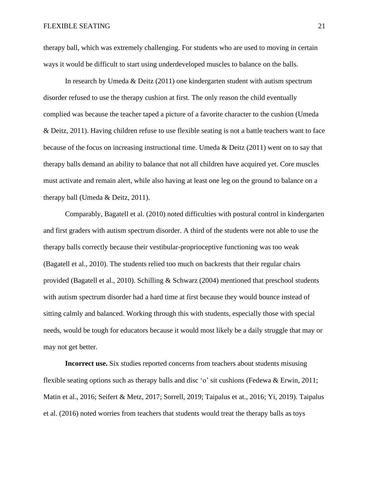therapy ball, which was extremely challenging. For students who are used to moving in certain ways it would be difficult to start using underdeveloped muscles to balance on the balls.

In research by Umeda & Deitz (2011) one kindergarten student with autism spectrum disorder refused to use the therapy cushion at first. The only reason the child eventually complied was because the teacher taped a picture of a favorite character to the cushion (Umeda & Deitz, 2011). Having children refuse to use flexible seating is not a battle teachers want to face because of the focus on increasing instructional time. Umeda & Deitz (2011) went on to say that therapy balls demand an ability to balance that not all children have acquired yet. Core muscles must activate and remain alert, while also having at least one leg on the ground to balance on a therapy ball (Umeda & Deitz, 2011).

Comparably, Bagatell et al. (2010) noted difficulties with postural control in kindergarten and first graders with autism spectrum disorder. A third of the students were not able to use the therapy balls correctly because their vestibular-proprioceptive functioning was too weak (Bagatell et al., 2010). The students relied too much on backrests that their regular chairs provided (Bagatell et al., 2010). Schilling & Schwarz (2004) mentioned that preschool students with autism spectrum disorder had a hard time at first because they would bounce instead of sitting calmly and balanced. Working through this with students, especially those with special needs, would be tough for educators because it would most likely be a daily struggle that may or may not get better.

**Incorrect use.** Six studies reported concerns from teachers about students misusing flexible seating options such as therapy balls and disc 'o' sit cushions (Fedewa & Erwin, 2011; Matin et al., 2016; Seifert & Metz, 2017; Sorrell, 2019; Taipalus et at., 2016; Yi, 2019). Taipalus et al. (2016) noted worries from teachers that students would treat the therapy balls as toys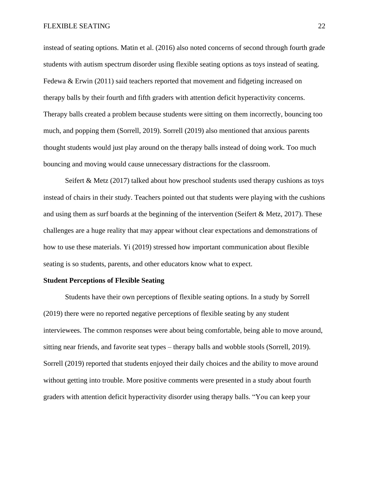instead of seating options. Matin et al. (2016) also noted concerns of second through fourth grade students with autism spectrum disorder using flexible seating options as toys instead of seating. Fedewa & Erwin (2011) said teachers reported that movement and fidgeting increased on therapy balls by their fourth and fifth graders with attention deficit hyperactivity concerns. Therapy balls created a problem because students were sitting on them incorrectly, bouncing too much, and popping them (Sorrell, 2019). Sorrell (2019) also mentioned that anxious parents thought students would just play around on the therapy balls instead of doing work. Too much bouncing and moving would cause unnecessary distractions for the classroom.

Seifert  $& Metz$  (2017) talked about how preschool students used therapy cushions as toys instead of chairs in their study. Teachers pointed out that students were playing with the cushions and using them as surf boards at the beginning of the intervention (Seifert & Metz, 2017). These challenges are a huge reality that may appear without clear expectations and demonstrations of how to use these materials. Yi (2019) stressed how important communication about flexible seating is so students, parents, and other educators know what to expect.

#### **Student Perceptions of Flexible Seating**

Students have their own perceptions of flexible seating options. In a study by Sorrell (2019) there were no reported negative perceptions of flexible seating by any student interviewees. The common responses were about being comfortable, being able to move around, sitting near friends, and favorite seat types – therapy balls and wobble stools (Sorrell, 2019). Sorrell (2019) reported that students enjoyed their daily choices and the ability to move around without getting into trouble. More positive comments were presented in a study about fourth graders with attention deficit hyperactivity disorder using therapy balls. "You can keep your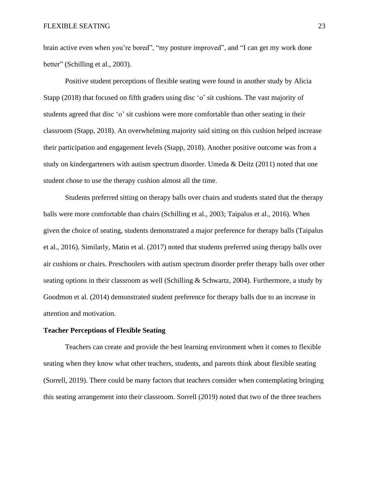brain active even when you're bored", "my posture improved", and "I can get my work done better" (Schilling et al., 2003).

Positive student perceptions of flexible seating were found in another study by Alicia Stapp (2018) that focused on fifth graders using disc 'o' sit cushions. The vast majority of students agreed that disc 'o' sit cushions were more comfortable than other seating in their classroom (Stapp, 2018). An overwhelming majority said sitting on this cushion helped increase their participation and engagement levels (Stapp, 2018). Another positive outcome was from a study on kindergarteners with autism spectrum disorder. Umeda & Deitz (2011) noted that one student chose to use the therapy cushion almost all the time.

Students preferred sitting on therapy balls over chairs and students stated that the therapy balls were more comfortable than chairs (Schilling et al., 2003; Taipalus et al., 2016). When given the choice of seating, students demonstrated a major preference for therapy balls (Taipalus et al., 2016). Similarly, Matin et al. (2017) noted that students preferred using therapy balls over air cushions or chairs. Preschoolers with autism spectrum disorder prefer therapy balls over other seating options in their classroom as well (Schilling & Schwartz, 2004). Furthermore, a study by Goodmon et al. (2014) demonstrated student preference for therapy balls due to an increase in attention and motivation.

# **Teacher Perceptions of Flexible Seating**

Teachers can create and provide the best learning environment when it comes to flexible seating when they know what other teachers, students, and parents think about flexible seating (Sorrell, 2019). There could be many factors that teachers consider when contemplating bringing this seating arrangement into their classroom. Sorrell (2019) noted that two of the three teachers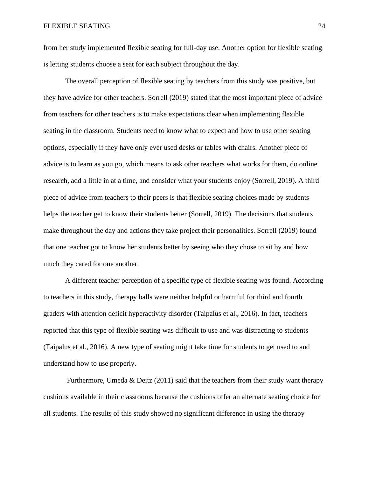from her study implemented flexible seating for full-day use. Another option for flexible seating is letting students choose a seat for each subject throughout the day.

The overall perception of flexible seating by teachers from this study was positive, but they have advice for other teachers. Sorrell (2019) stated that the most important piece of advice from teachers for other teachers is to make expectations clear when implementing flexible seating in the classroom. Students need to know what to expect and how to use other seating options, especially if they have only ever used desks or tables with chairs. Another piece of advice is to learn as you go, which means to ask other teachers what works for them, do online research, add a little in at a time, and consider what your students enjoy (Sorrell, 2019). A third piece of advice from teachers to their peers is that flexible seating choices made by students helps the teacher get to know their students better (Sorrell, 2019). The decisions that students make throughout the day and actions they take project their personalities. Sorrell (2019) found that one teacher got to know her students better by seeing who they chose to sit by and how much they cared for one another.

A different teacher perception of a specific type of flexible seating was found. According to teachers in this study, therapy balls were neither helpful or harmful for third and fourth graders with attention deficit hyperactivity disorder (Taipalus et al., 2016). In fact, teachers reported that this type of flexible seating was difficult to use and was distracting to students (Taipalus et al., 2016). A new type of seating might take time for students to get used to and understand how to use properly.

Furthermore, Umeda & Deitz (2011) said that the teachers from their study want therapy cushions available in their classrooms because the cushions offer an alternate seating choice for all students. The results of this study showed no significant difference in using the therapy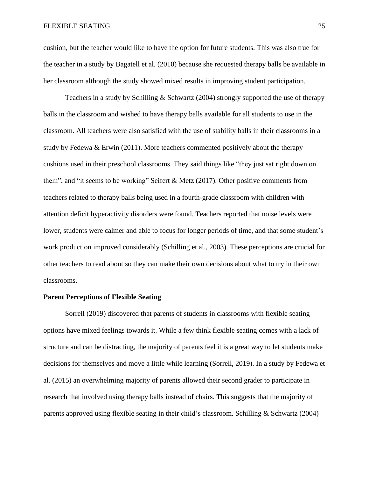cushion, but the teacher would like to have the option for future students. This was also true for the teacher in a study by Bagatell et al. (2010) because she requested therapy balls be available in her classroom although the study showed mixed results in improving student participation.

Teachers in a study by Schilling & Schwartz (2004) strongly supported the use of therapy balls in the classroom and wished to have therapy balls available for all students to use in the classroom. All teachers were also satisfied with the use of stability balls in their classrooms in a study by Fedewa & Erwin (2011). More teachers commented positively about the therapy cushions used in their preschool classrooms. They said things like "they just sat right down on them", and "it seems to be working" Seifert & Metz (2017). Other positive comments from teachers related to therapy balls being used in a fourth-grade classroom with children with attention deficit hyperactivity disorders were found. Teachers reported that noise levels were lower, students were calmer and able to focus for longer periods of time, and that some student's work production improved considerably (Schilling et al., 2003). These perceptions are crucial for other teachers to read about so they can make their own decisions about what to try in their own classrooms.

#### **Parent Perceptions of Flexible Seating**

Sorrell (2019) discovered that parents of students in classrooms with flexible seating options have mixed feelings towards it. While a few think flexible seating comes with a lack of structure and can be distracting, the majority of parents feel it is a great way to let students make decisions for themselves and move a little while learning (Sorrell, 2019). In a study by Fedewa et al. (2015) an overwhelming majority of parents allowed their second grader to participate in research that involved using therapy balls instead of chairs. This suggests that the majority of parents approved using flexible seating in their child's classroom. Schilling & Schwartz (2004)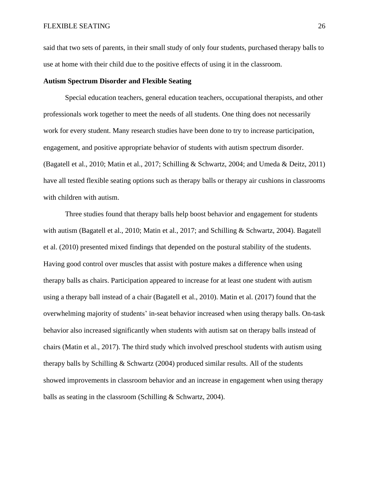said that two sets of parents, in their small study of only four students, purchased therapy balls to use at home with their child due to the positive effects of using it in the classroom.

# **Autism Spectrum Disorder and Flexible Seating**

Special education teachers, general education teachers, occupational therapists, and other professionals work together to meet the needs of all students. One thing does not necessarily work for every student. Many research studies have been done to try to increase participation, engagement, and positive appropriate behavior of students with autism spectrum disorder. (Bagatell et al., 2010; Matin et al., 2017; Schilling & Schwartz, 2004; and Umeda & Deitz, 2011) have all tested flexible seating options such as therapy balls or therapy air cushions in classrooms with children with autism.

Three studies found that therapy balls help boost behavior and engagement for students with autism (Bagatell et al., 2010; Matin et al., 2017; and Schilling & Schwartz, 2004). Bagatell et al. (2010) presented mixed findings that depended on the postural stability of the students. Having good control over muscles that assist with posture makes a difference when using therapy balls as chairs. Participation appeared to increase for at least one student with autism using a therapy ball instead of a chair (Bagatell et al., 2010). Matin et al. (2017) found that the overwhelming majority of students' in-seat behavior increased when using therapy balls. On-task behavior also increased significantly when students with autism sat on therapy balls instead of chairs (Matin et al., 2017). The third study which involved preschool students with autism using therapy balls by Schilling  $\&$  Schwartz (2004) produced similar results. All of the students showed improvements in classroom behavior and an increase in engagement when using therapy balls as seating in the classroom (Schilling & Schwartz, 2004).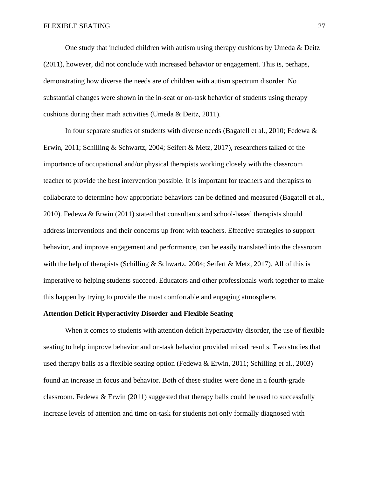One study that included children with autism using therapy cushions by Umeda  $\&$  Deitz (2011), however, did not conclude with increased behavior or engagement. This is, perhaps, demonstrating how diverse the needs are of children with autism spectrum disorder. No substantial changes were shown in the in-seat or on-task behavior of students using therapy cushions during their math activities (Umeda & Deitz, 2011).

In four separate studies of students with diverse needs (Bagatell et al., 2010; Fedewa  $\&$ Erwin, 2011; Schilling & Schwartz, 2004; Seifert & Metz, 2017), researchers talked of the importance of occupational and/or physical therapists working closely with the classroom teacher to provide the best intervention possible. It is important for teachers and therapists to collaborate to determine how appropriate behaviors can be defined and measured (Bagatell et al., 2010). Fedewa & Erwin (2011) stated that consultants and school-based therapists should address interventions and their concerns up front with teachers. Effective strategies to support behavior, and improve engagement and performance, can be easily translated into the classroom with the help of therapists (Schilling & Schwartz, 2004; Seifert & Metz, 2017). All of this is imperative to helping students succeed. Educators and other professionals work together to make this happen by trying to provide the most comfortable and engaging atmosphere.

#### **Attention Deficit Hyperactivity Disorder and Flexible Seating**

When it comes to students with attention deficit hyperactivity disorder, the use of flexible seating to help improve behavior and on-task behavior provided mixed results. Two studies that used therapy balls as a flexible seating option (Fedewa & Erwin, 2011; Schilling et al., 2003) found an increase in focus and behavior. Both of these studies were done in a fourth-grade classroom. Fedewa  $\&$  Erwin (2011) suggested that therapy balls could be used to successfully increase levels of attention and time on-task for students not only formally diagnosed with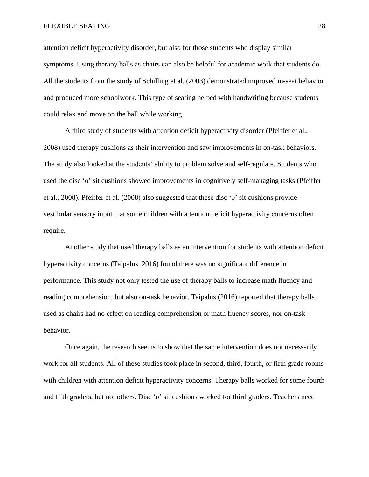attention deficit hyperactivity disorder, but also for those students who display similar symptoms. Using therapy balls as chairs can also be helpful for academic work that students do. All the students from the study of Schilling et al. (2003) demonstrated improved in-seat behavior and produced more schoolwork. This type of seating helped with handwriting because students could relax and move on the ball while working.

A third study of students with attention deficit hyperactivity disorder (Pfeiffer et al., 2008) used therapy cushions as their intervention and saw improvements in on-task behaviors. The study also looked at the students' ability to problem solve and self-regulate. Students who used the disc 'o' sit cushions showed improvements in cognitively self-managing tasks (Pfeiffer et al., 2008). Pfeiffer et al. (2008) also suggested that these disc 'o' sit cushions provide vestibular sensory input that some children with attention deficit hyperactivity concerns often require.

Another study that used therapy balls as an intervention for students with attention deficit hyperactivity concerns (Taipalus, 2016) found there was no significant difference in performance. This study not only tested the use of therapy balls to increase math fluency and reading comprehension, but also on-task behavior. Taipalus (2016) reported that therapy balls used as chairs had no effect on reading comprehension or math fluency scores, nor on-task behavior.

Once again, the research seems to show that the same intervention does not necessarily work for all students. All of these studies took place in second, third, fourth, or fifth grade rooms with children with attention deficit hyperactivity concerns. Therapy balls worked for some fourth and fifth graders, but not others. Disc 'o' sit cushions worked for third graders. Teachers need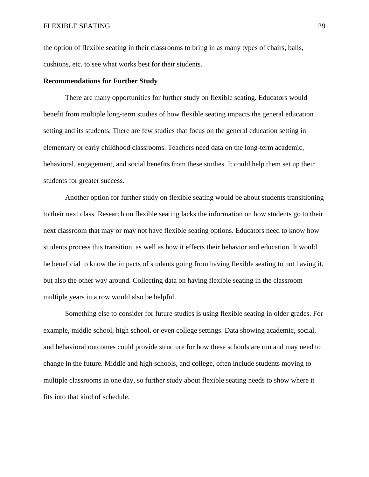the option of flexible seating in their classrooms to bring in as many types of chairs, balls, cushions, etc. to see what works best for their students.

# **Recommendations for Further Study**

There are many opportunities for further study on flexible seating. Educators would benefit from multiple long-term studies of how flexible seating impacts the general education setting and its students. There are few studies that focus on the general education setting in elementary or early childhood classrooms. Teachers need data on the long-term academic, behavioral, engagement, and social benefits from these studies. It could help them set up their students for greater success.

Another option for further study on flexible seating would be about students transitioning to their next class. Research on flexible seating lacks the information on how students go to their next classroom that may or may not have flexible seating options. Educators need to know how students process this transition, as well as how it effects their behavior and education. It would be beneficial to know the impacts of students going from having flexible seating to not having it, but also the other way around. Collecting data on having flexible seating in the classroom multiple years in a row would also be helpful.

Something else to consider for future studies is using flexible seating in older grades. For example, middle school, high school, or even college settings. Data showing academic, social, and behavioral outcomes could provide structure for how these schools are run and may need to change in the future. Middle and high schools, and college, often include students moving to multiple classrooms in one day, so further study about flexible seating needs to show where it fits into that kind of schedule.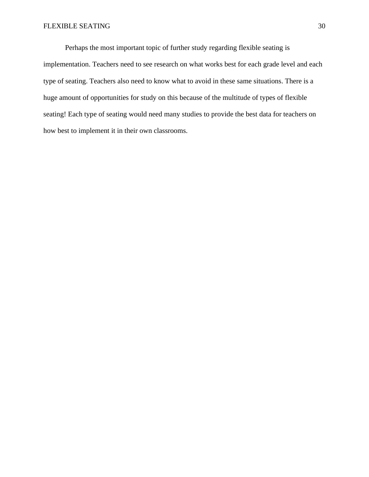Perhaps the most important topic of further study regarding flexible seating is implementation. Teachers need to see research on what works best for each grade level and each type of seating. Teachers also need to know what to avoid in these same situations. There is a huge amount of opportunities for study on this because of the multitude of types of flexible seating! Each type of seating would need many studies to provide the best data for teachers on how best to implement it in their own classrooms.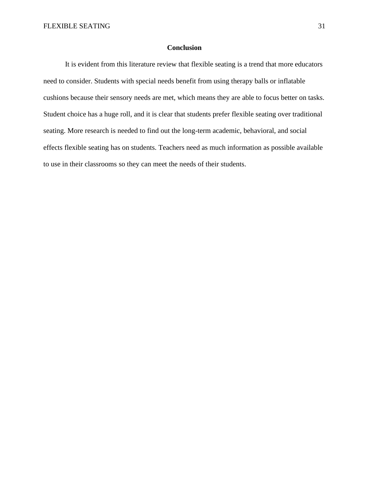# **Conclusion**

It is evident from this literature review that flexible seating is a trend that more educators need to consider. Students with special needs benefit from using therapy balls or inflatable cushions because their sensory needs are met, which means they are able to focus better on tasks. Student choice has a huge roll, and it is clear that students prefer flexible seating over traditional seating. More research is needed to find out the long-term academic, behavioral, and social effects flexible seating has on students. Teachers need as much information as possible available to use in their classrooms so they can meet the needs of their students.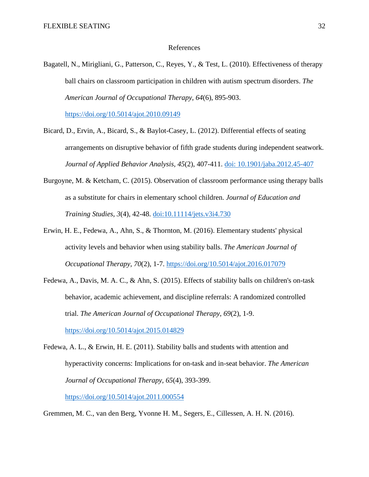# References

Bagatell, N., Mirigliani, G., Patterson, C., Reyes, Y., & Test, L. (2010). Effectiveness of therapy ball chairs on classroom participation in children with autism spectrum disorders. *The American Journal of Occupational Therapy, 64*(6), 895-903.

<https://doi.org/10.5014/ajot.2010.09149>

- Bicard, D., Ervin, A., Bicard, S., & Baylot-Casey, L. (2012). Differential effects of seating arrangements on disruptive behavior of fifth grade students during independent seatwork. *Journal of Applied Behavior Analysis, 45*(2), 407-411. doi: [10.1901/jaba.2012.45-407](https://dx.doi.org/10.1901%2Fjaba.2012.45-407)
- Burgoyne, M. & Ketcham, C. (2015). Observation of classroom performance using therapy balls as a substitute for chairs in elementary school children. *Journal of Education and Training Studies, 3*(4), 42-48. doi[:10.11114/jets.v3i4.730](https://doi.org/10.11114/jets.v3i4.730)
- Erwin, H. E., Fedewa, A., Ahn, S., & Thornton, M. (2016). Elementary students' physical activity levels and behavior when using stability balls. *The American Journal of Occupational Therapy, 70*(2), 1-7. <https://doi.org/10.5014/ajot.2016.017079>
- Fedewa, A., Davis, M. A. C., & Ahn, S. (2015). Effects of stability balls on children's on-task behavior, academic achievement, and discipline referrals: A randomized controlled trial. *The American Journal of Occupational Therapy, 69*(2), 1-9. <https://doi.org/10.5014/ajot.2015.014829>
- Fedewa, A. L., & Erwin, H. E. (2011). Stability balls and students with attention and hyperactivity concerns: Implications for on-task and in-seat behavior. *The American Journal of Occupational Therapy, 65*(4), 393-399. <https://doi.org/10.5014/ajot.2011.000554>

Gremmen, M. C., van den Berg, Yvonne H. M., Segers, E., Cillessen, A. H. N. (2016).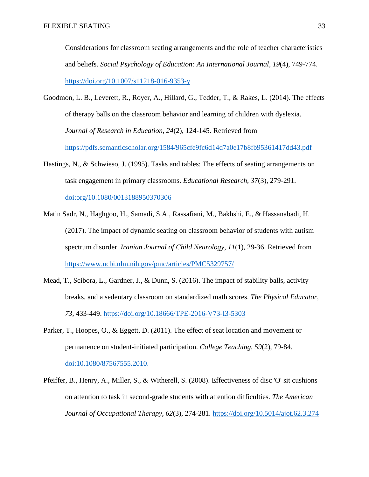Considerations for classroom seating arrangements and the role of teacher characteristics and beliefs. *Social Psychology of Education: An International Journal, 19*(4), 749-774. https://doi.org/10.1007/s11218-016-9353-y

- Goodmon, L. B., Leverett, R., Royer, A., Hillard, G., Tedder, T., & Rakes, L. (2014). The effects of therapy balls on the classroom behavior and learning of children with dyslexia. *Journal of Research in Education, 24*(2), 124-145. Retrieved from <https://pdfs.semanticscholar.org/1584/965cfe9fc6d14d7a0e17b8fb95361417dd43.pdf>
- Hastings, N., & Schwieso, J. (1995). Tasks and tables: The effects of seating arrangements on task engagement in primary classrooms. *Educational Research, 37*(3), 279-291. doi:org/10.1080/0013188950370306
- Matin Sadr, N., Haghgoo, H., Samadi, S.A., Rassafiani, M., Bakhshi, E., & Hassanabadi, H. (2017). The impact of dynamic seating on classroom behavior of students with autism spectrum disorder. *Iranian Journal of Child Neurology, 11*(1), 29-36. Retrieved from <https://www.ncbi.nlm.nih.gov/pmc/articles/PMC5329757/>
- Mead, T., Scibora, L., Gardner, J., & Dunn, S. (2016). The impact of stability balls, activity breaks, and a sedentary classroom on standardized math scores. *The Physical Educator, 73*, 433-449. <https://doi.org/10.18666/TPE-2016-V73-I3-5303>
- Parker, T., Hoopes, O., & Eggett, D. (2011). The effect of seat location and movement or permanence on student-initiated participation. *College Teaching, 59*(2), 79-84. doi:10.1080/87567555.2010.
- Pfeiffer, B., Henry, A., Miller, S., & Witherell, S. (2008). Effectiveness of disc 'O' sit cushions on attention to task in second-grade students with attention difficulties. *The American Journal of Occupational Therapy, 62*(3), 274-281. <https://doi.org/10.5014/ajot.62.3.274>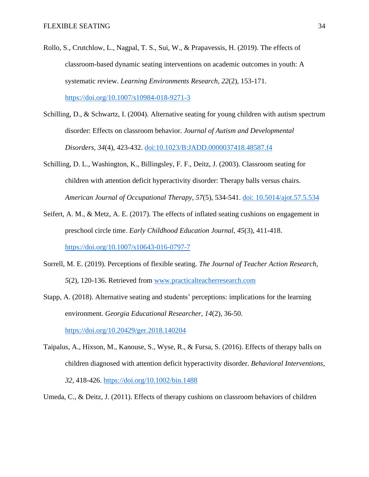- Rollo, S., Crutchlow, L., Nagpal, T. S., Sui, W., & Prapavessis, H. (2019). The effects of classroom-based dynamic seating interventions on academic outcomes in youth: A systematic review. *Learning Environments Research, 22*(2), 153-171. https://doi.org/10.1007/s10984-018-9271-3
- Schilling, D., & Schwartz, I. (2004). Alternative seating for young children with autism spectrum disorder: Effects on classroom behavior. *Journal of Autism and Developmental Disorders, 34*(4), 423-432. doi:10.1023/B:JADD.0000037418.48587.f4
- Schilling, D. L., Washington, K., Billingsley, F. F., Deitz, J. (2003). Classroom seating for children with attention deficit hyperactivity disorder: Therapy balls versus chairs. *American Journal of Occupational Therapy, 57*(5), 534-541. doi: 10.5014/ajot.57.5.534
- Seifert, A. M., & Metz, A. E. (2017). The effects of inflated seating cushions on engagement in preschool circle time. *Early Childhood Education Journal, 45*(3), 411-418. https://doi.org/10.1007/s10643-016-0797-7
- Sorrell, M. E. (2019). Perceptions of flexible seating. *The Journal of Teacher Action Research, 5*(2), 120-136. Retrieved from [www.practicalteacherresearch.com](http://www.practicalteacherresearch.com/)
- Stapp, A. (2018). Alternative seating and students' perceptions: implications for the learning environment. *Georgia Educational Researcher, 14*(2), 36-50. <https://doi.org/10.20429/ger.2018.140204>

Taipalus, A., Hixson, M., Kanouse, S., Wyse, R., & Fursa, S. (2016). Effects of therapy balls on children diagnosed with attention deficit hyperactivity disorder. *Behavioral Interventions, 32*, 418-426. <https://doi.org/10.1002/bin.1488>

Umeda, C., & Deitz, J. (2011). Effects of therapy cushions on classroom behaviors of children